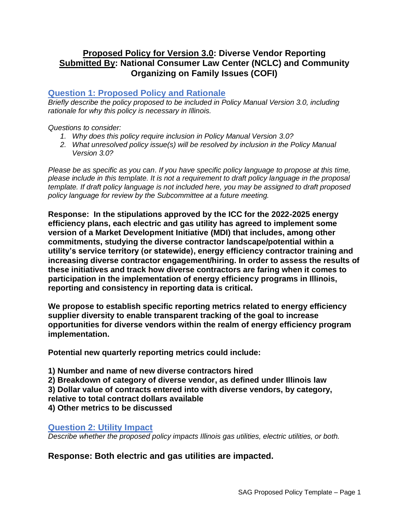# **Proposed Policy for Version 3.0: Diverse Vendor Reporting Submitted By: National Consumer Law Center (NCLC) and Community Organizing on Family Issues (COFI)**

### **Question 1: Proposed Policy and Rationale**

*Briefly describe the policy proposed to be included in Policy Manual Version 3.0, including rationale for why this policy is necessary in Illinois.* 

#### *Questions to consider:*

- *1. Why does this policy require inclusion in Policy Manual Version 3.0?*
- *2. What unresolved policy issue(s) will be resolved by inclusion in the Policy Manual Version 3.0?*

*Please be as specific as you can. If you have specific policy language to propose at this time, please include in this template. It is not a requirement to draft policy language in the proposal template. If draft policy language is not included here, you may be assigned to draft proposed policy language for review by the Subcommittee at a future meeting.*

**Response: In the stipulations approved by the ICC for the 2022-2025 energy efficiency plans, each electric and gas utility has agreed to implement some version of a Market Development Initiative (MDI) that includes, among other commitments, studying the diverse contractor landscape/potential within a utility's service territory (or statewide), energy efficiency contractor training and increasing diverse contractor engagement/hiring. In order to assess the results of these initiatives and track how diverse contractors are faring when it comes to participation in the implementation of energy efficiency programs in Illinois, reporting and consistency in reporting data is critical.**

**We propose to establish specific reporting metrics related to energy efficiency supplier diversity to enable transparent tracking of the goal to increase opportunities for diverse vendors within the realm of energy efficiency program implementation.**

**Potential new quarterly reporting metrics could include:**

**1) Number and name of new diverse contractors hired**

**2) Breakdown of category of diverse vendor, as defined under Illinois law**

- **3) Dollar value of contracts entered into with diverse vendors, by category,**
- **relative to total contract dollars available**

**4) Other metrics to be discussed**

### **Question 2: Utility Impact**

*Describe whether the proposed policy impacts Illinois gas utilities, electric utilities, or both.* 

**Response: Both electric and gas utilities are impacted.**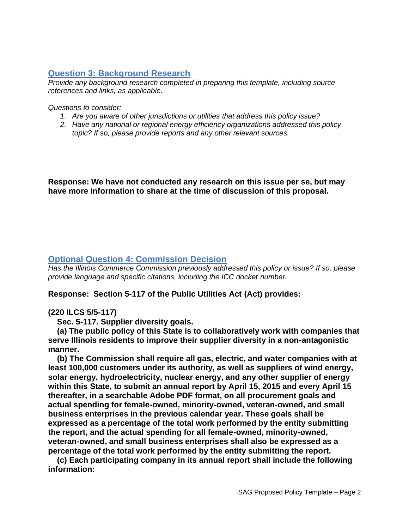# **Question 3: Background Research**

*Provide any background research completed in preparing this template, including source references and links, as applicable.* 

*Questions to consider:*

- *1. Are you aware of other jurisdictions or utilities that address this policy issue?*
- *2. Have any national or regional energy efficiency organizations addressed this policy topic? If so, please provide reports and any other relevant sources.*

**Response: We have not conducted any research on this issue per se, but may have more information to share at the time of discussion of this proposal.**

### **Optional Question 4: Commission Decision**

*Has the Illinois Commerce Commission previously addressed this policy or issue? If so, please provide language and specific citations, including the ICC docket number.*

**Response: Section 5-117 of the Public Utilities Act (Act) provides:**

### **(220 ILCS 5/5-117)**

 **Sec. 5-117. Supplier diversity goals.**

 **(a) The public policy of this State is to collaboratively work with companies that serve Illinois residents to improve their supplier diversity in a non-antagonistic manner.**

 **(b) The Commission shall require all gas, electric, and water companies with at least 100,000 customers under its authority, as well as suppliers of wind energy, solar energy, hydroelectricity, nuclear energy, and any other supplier of energy within this State, to submit an annual report by April 15, 2015 and every April 15 thereafter, in a searchable Adobe PDF format, on all procurement goals and actual spending for female-owned, minority-owned, veteran-owned, and small business enterprises in the previous calendar year. These goals shall be expressed as a percentage of the total work performed by the entity submitting the report, and the actual spending for all female-owned, minority-owned, veteran-owned, and small business enterprises shall also be expressed as a percentage of the total work performed by the entity submitting the report.**

 **(c) Each participating company in its annual report shall include the following information:**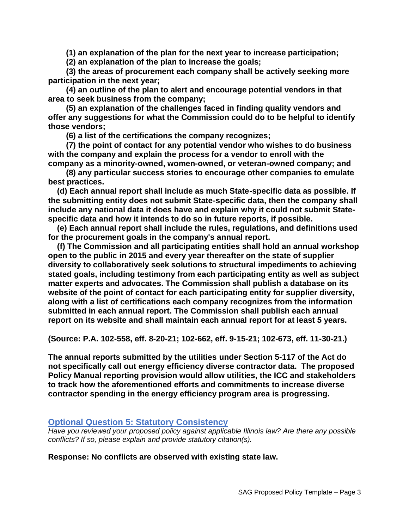**(1) an explanation of the plan for the next year to increase participation;**

 **(2) an explanation of the plan to increase the goals;**

 **(3) the areas of procurement each company shall be actively seeking more participation in the next year;**

 **(4) an outline of the plan to alert and encourage potential vendors in that area to seek business from the company;**

 **(5) an explanation of the challenges faced in finding quality vendors and offer any suggestions for what the Commission could do to be helpful to identify those vendors;**

 **(6) a list of the certifications the company recognizes;**

 **(7) the point of contact for any potential vendor who wishes to do business with the company and explain the process for a vendor to enroll with the company as a minority-owned, women-owned, or veteran-owned company; and**

 **(8) any particular success stories to encourage other companies to emulate best practices.**

 **(d) Each annual report shall include as much State-specific data as possible. If the submitting entity does not submit State-specific data, then the company shall include any national data it does have and explain why it could not submit Statespecific data and how it intends to do so in future reports, if possible.**

 **(e) Each annual report shall include the rules, regulations, and definitions used for the procurement goals in the company's annual report.**

 **(f) The Commission and all participating entities shall hold an annual workshop open to the public in 2015 and every year thereafter on the state of supplier diversity to collaboratively seek solutions to structural impediments to achieving stated goals, including testimony from each participating entity as well as subject matter experts and advocates. The Commission shall publish a database on its website of the point of contact for each participating entity for supplier diversity, along with a list of certifications each company recognizes from the information submitted in each annual report. The Commission shall publish each annual report on its website and shall maintain each annual report for at least 5 years.**

**(Source: P.A. 102-558, eff. 8-20-21; 102-662, eff. 9-15-21; 102-673, eff. 11-30-21.)**

**The annual reports submitted by the utilities under Section 5-117 of the Act do not specifically call out energy efficiency diverse contractor data. The proposed Policy Manual reporting provision would allow utilities, the ICC and stakeholders to track how the aforementioned efforts and commitments to increase diverse contractor spending in the energy efficiency program area is progressing.**

### **Optional Question 5: Statutory Consistency**

*Have you reviewed your proposed policy against applicable Illinois law? Are there any possible conflicts? If so, please explain and provide statutory citation(s).*

**Response: No conflicts are observed with existing state law.**